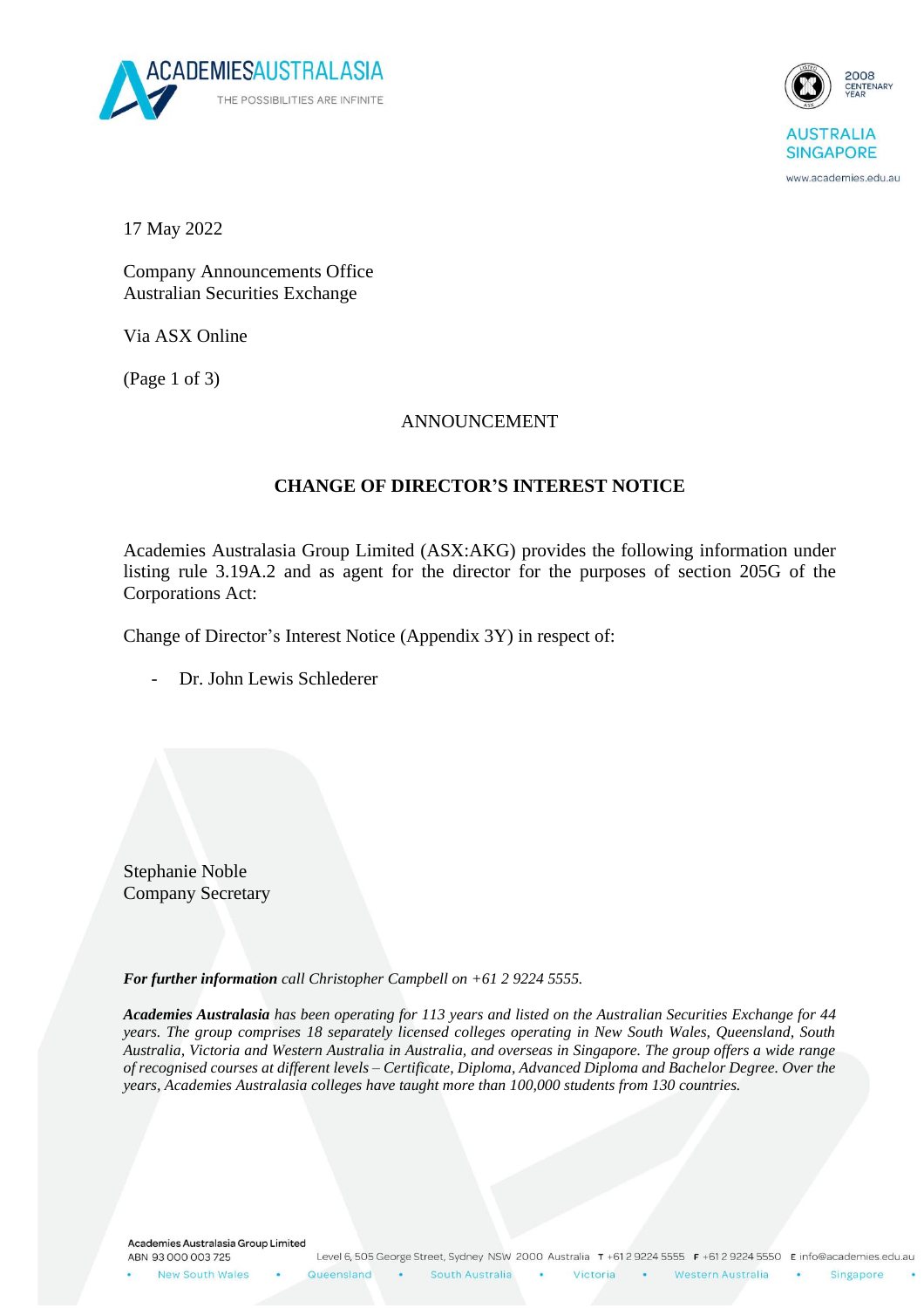



www.academies.edu.au

17 May 2022

Company Announcements Office Australian Securities Exchange

Via ASX Online

(Page 1 of 3)

## ANNOUNCEMENT

## **CHANGE OF DIRECTOR'S INTEREST NOTICE**

Academies Australasia Group Limited (ASX:AKG) provides the following information under listing rule 3.19A.2 and as agent for the director for the purposes of section 205G of the Corporations Act:

Change of Director's Interest Notice (Appendix 3Y) in respect of:

Dr. John Lewis Schlederer

Stephanie Noble Company Secretary

*For further information call Christopher Campbell on +61 2 9224 5555.*

*Academies Australasia has been operating for 113 years and listed on the Australian Securities Exchange for 44 years. The group comprises 18 separately licensed colleges operating in New South Wales, Queensland, South Australia, Victoria and Western Australia in Australia, and overseas in Singapore. The group offers a wide range of recognised courses at different levels – Certificate, Diploma, Advanced Diploma and Bachelor Degree. Over the years, Academies Australasia colleges have taught more than 100,000 students from 130 countries.*

Academies Australasia Group Limited ABN 93 000 003 725

New South Wales

**College** Western Australia

Victoria

Singapore

 $\bullet$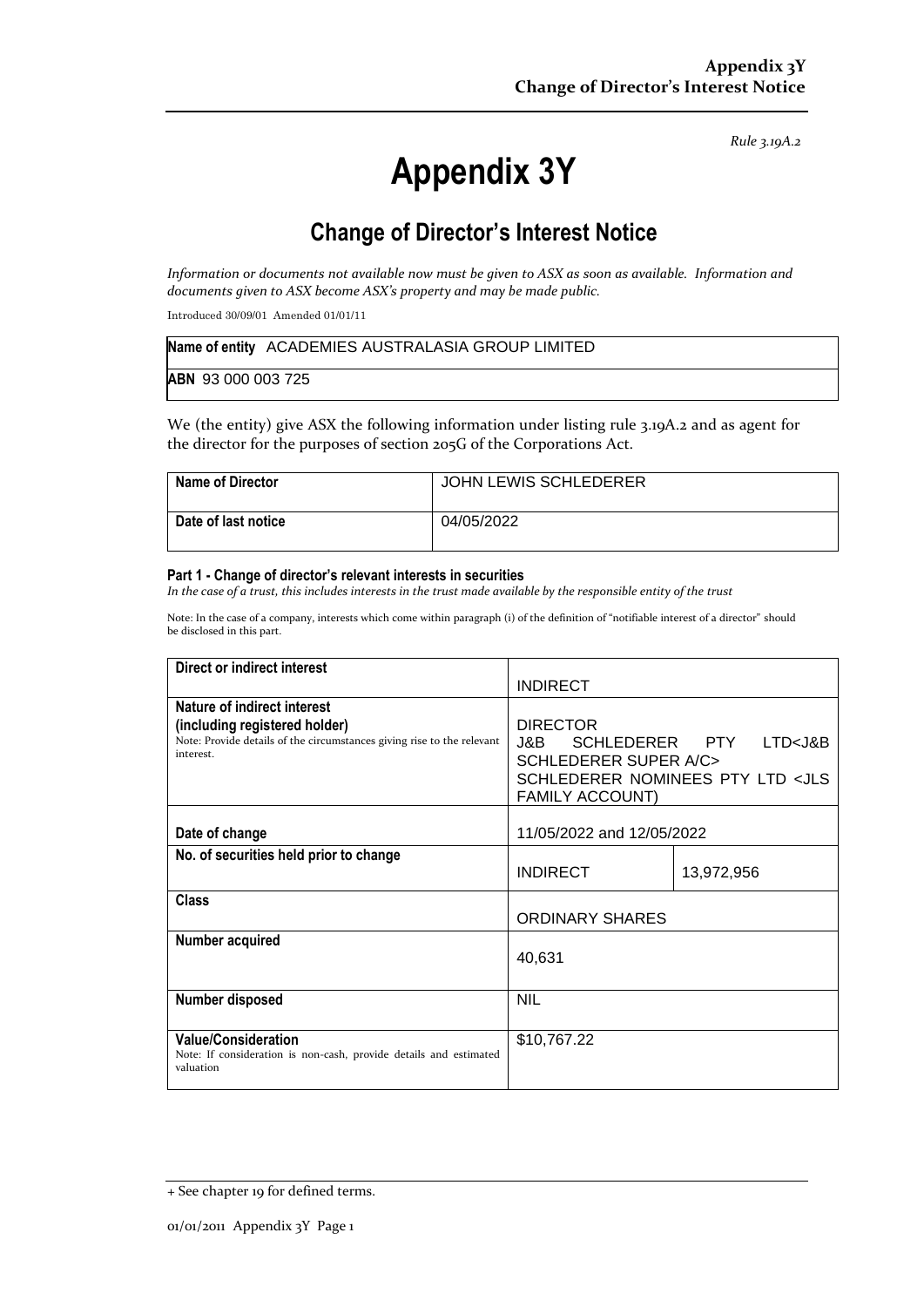*Rule 3.19A.2*

# **Appendix 3Y**

# **Change of Director's Interest Notice**

*Information or documents not available now must be given to ASX as soon as available. Information and documents given to ASX become ASX's property and may be made public.*

Introduced 30/09/01 Amended 01/01/11

|                    | Name of entity ACADEMIES AUSTRALASIA GROUP LIMITED |
|--------------------|----------------------------------------------------|
| ABN 93 000 003 725 |                                                    |

We (the entity) give ASX the following information under listing rule 3.19A.2 and as agent for the director for the purposes of section 205G of the Corporations Act.

| Name of Director    | JOHN LEWIS SCHLEDERER |
|---------------------|-----------------------|
| Date of last notice | 04/05/2022            |

#### **Part 1 - Change of director's relevant interests in securities**

*In the case of a trust, this includes interests in the trust made available by the responsible entity of the trust*

Note: In the case of a company, interests which come within paragraph (i) of the definition of "notifiable interest of a director" should be disclosed in this part.

| Direct or indirect interest                                                                                                                         |                                                                                                                                                                    |            |
|-----------------------------------------------------------------------------------------------------------------------------------------------------|--------------------------------------------------------------------------------------------------------------------------------------------------------------------|------------|
|                                                                                                                                                     | <b>INDIRECT</b>                                                                                                                                                    |            |
| Nature of indirect interest<br>(including registered holder)<br>Note: Provide details of the circumstances giving rise to the relevant<br>interest. | <b>DIRECTOR</b><br>J&B SCHLEDERER PTY LTD <j&b<br><b>SCHLEDERER SUPER A/C&gt;</b><br/>SCHLEDERER NOMINEES PTY LTD <jls<br><b>FAMILY ACCOUNT)</b></jls<br></j&b<br> |            |
| Date of change                                                                                                                                      | 11/05/2022 and 12/05/2022                                                                                                                                          |            |
| No. of securities held prior to change                                                                                                              | <b>INDIRECT</b>                                                                                                                                                    | 13,972,956 |
| Class                                                                                                                                               | <b>ORDINARY SHARES</b>                                                                                                                                             |            |
| Number acquired                                                                                                                                     | 40,631                                                                                                                                                             |            |
| <b>Number disposed</b>                                                                                                                              | <b>NIL</b>                                                                                                                                                         |            |
| <b>Value/Consideration</b><br>Note: If consideration is non-cash, provide details and estimated<br>valuation                                        | \$10,767.22                                                                                                                                                        |            |

<sup>+</sup> See chapter 19 for defined terms.